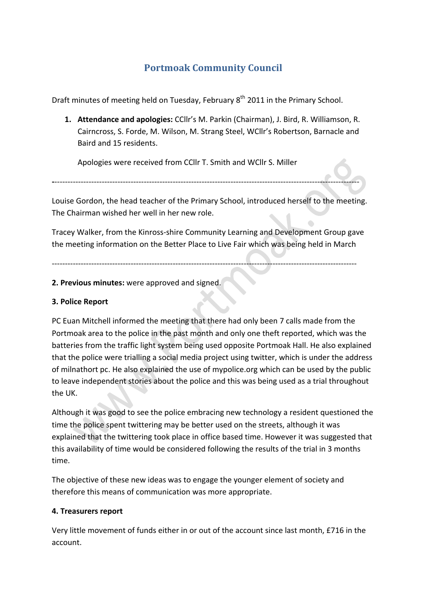# **Portmoak Community Council**

Draft minutes of meeting held on Tuesday, February 8<sup>th</sup> 2011 in the Primary School.

**1. Attendance and apologies:** CCllr's M. Parkin (Chairman), J. Bird, R. Williamson, R. Cairncross, S. Forde, M. Wilson, M. Strang Steel, WCllr's Robertson, Barnacle and Baird and 15 residents.

Apologies were received from CCllr T. Smith and WCllr S. Miller

Louise Gordon, the head teacher of the Primary School, introduced herself to the meeting. The Chairman wished her well in her new role.

**2**NNNNNNNNNNNNNNNNNNNNNNNNNNNNNNNNNNNNNNNNNNNNNNNNNNNNNNNNNNNNNNNNNNNNNNNNNNNNNNNNNNNNNNNNNNNNNNNNNNNNNNNNNNNNNNNNNNNN

Tracey Walker, from the Kinross-shire Community Learning and Development Group gave the meeting information on the Better Place to Live Fair which was being held in March

NNNNNNNNNNNNNNNNNNNNNNNNNNNNNNNNNNNNNNNNNNNNNNNNNNNNNNNNNNNNNNNNNNNNNNNNNNNNNNNNNNNNNNNNNNNNNNNNNNNNNNNNNNNNNNNNNNNN

# **2. Previous minutes:** were approved and signed.

# **3. Police Report**

PC Euan Mitchell informed the meeting that there had only been 7 calls made from the Portmoak area to the police in the past month and only one theft reported, which was the batteries from the traffic light system being used opposite Portmoak Hall. He also explained that the police were trialling a social media project using twitter, which is under the address of milnathort pc. He also explained the use of mypolice.org which can be used by the public to leave independent stories about the police and this was being used as a trial throughout the UK.

Although it was good to see the police embracing new technology a resident questioned the time the police spent twittering may be better used on the streets, although it was explained that the twittering took place in office based time. However it was suggested that this availability of time would be considered following the results of the trial in 3 months time.

The objective of these new ideas was to engage the younger element of society and therefore this means of communication was more appropriate.

# **4. Treasurers report**

Very little movement of funds either in or out of the account since last month, £716 in the account.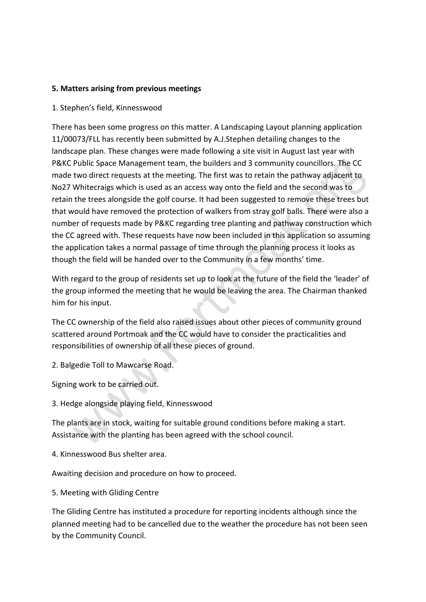#### **5.\*Matters\*arising from\*previous\*meetings**

#### 1. Stephen's field, Kinnesswood

There has been some progress on this matter. A Landscaping Layout planning application 11/00073/FLL has recently been submitted by A.J.Stephen detailing changes to the landscape plan. These changes were made following a site visit in August last year with P&KC Public Space Management team, the builders and 3 community councillors. The CC made two direct requests at the meeting. The first was to retain the pathway adjacent to No27 Whitecraigs which is used as an access way onto the field and the second was to retain the trees alongside the golf course. It had been suggested to remove these trees but that would have removed the protection of walkers from stray golf balls. There were also a number of requests made by P&KC regarding tree planting and pathway construction which the CC agreed with. These requests have now been included in this application so assuming the application takes a normal passage of time through the planning process it looks as though the field will be handed over to the Community in a few months' time.

With regard to the group of residents set up to look at the future of the field the 'leader' of the group informed the meeting that he would be leaving the area. The Chairman thanked him for his input.

The CC ownership of the field also raised issues about other pieces of community ground scattered around Portmoak and the CC would have to consider the practicalities and responsibilities of ownership of all these pieces of ground.

2. Balgedie Toll to Mawcarse Road.

Signing work to be carried out.

3. Hedge alongside playing field, Kinnesswood

The plants are in stock, waiting for suitable ground conditions before making a start. Assistance with the planting has been agreed with the school council.

4. Kinnesswood Bus shelter area.

Awaiting decision and procedure on how to proceed.

5. Meeting with Gliding Centre

The Gliding Centre has instituted a procedure for reporting incidents although since the planned meeting had to be cancelled due to the weather the procedure has not been seen by the Community Council.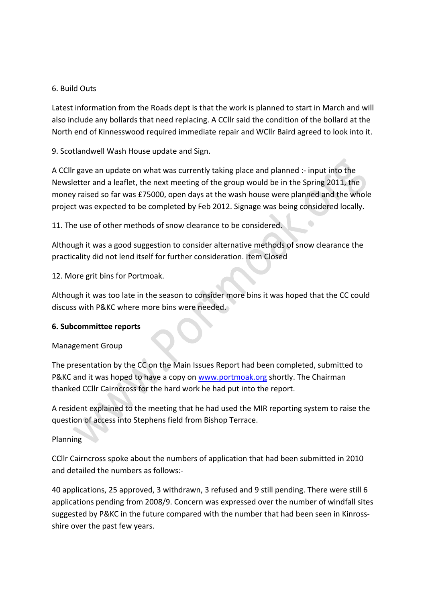# 6.!Build!Outs

Latest information from the Roads dept is that the work is planned to start in March and will also include any bollards that need replacing. A CCllr said the condition of the bollard at the North end of Kinnesswood required immediate repair and WCllr Baird agreed to look into it.

9. Scotlandwell Wash House update and Sign.

A CCllr gave an update on what was currently taking place and planned :- input into the Newsletter and a leaflet, the next meeting of the group would be in the Spring 2011, the money raised so far was £75000, open days at the wash house were planned and the whole project was expected to be completed by Feb 2012. Signage was being considered locally.

11. The use of other methods of snow clearance to be considered.

Although it was a good suggestion to consider alternative methods of snow clearance the practicality did not lend itself for further consideration. Item Closed

12. More grit bins for Portmoak.

Although it was too late in the season to consider more bins it was hoped that the CC could discuss with P&KC where more bins were needed.

#### **6. Subcommittee reports**

# Management Group

The presentation by the CC on the Main Issues Report had been completed, submitted to P&KC and it was hoped to have a copy on www.portmoak.org shortly. The Chairman thanked CCIIr Cairncross for the hard work he had put into the report.

A resident explained to the meeting that he had used the MIR reporting system to raise the question of access into Stephens field from Bishop Terrace.

#### Planning

CCIIr Cairncross spoke about the numbers of application that had been submitted in 2010 and detailed the numbers as follows:-

40 applications, 25 approved, 3 withdrawn, 3 refused and 9 still pending. There were still 6 applications pending from 2008/9. Concern was expressed over the number of windfall sites suggested by P&KC in the future compared with the number that had been seen in Kinrossshire over the past few years.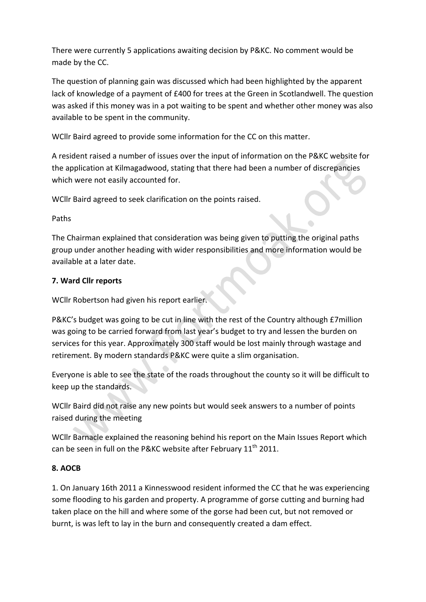There were currently 5 applications awaiting decision by P&KC. No comment would be made by the CC.

The question of planning gain was discussed which had been highlighted by the apparent lack of knowledge of a payment of £400 for trees at the Green in Scotlandwell. The question was asked if this money was in a pot waiting to be spent and whether other money was also available to be spent in the community.

WCllr Baird agreed to provide some information for the CC on this matter.

A resident raised a number of issues over the input of information on the P&KC website for the application at Kilmagadwood, stating that there had been a number of discrepancies which were not easily accounted for.

WCllr Baird agreed to seek clarification on the points raised.

Paths

The Chairman explained that consideration was being given to putting the original paths group under another heading with wider responsibilities and more information would be available at a later date.

# **7.\*Ward\*Cllr\*reports**

WCllr Robertson had given his report earlier.

P&KC's budget was going to be cut in line with the rest of the Country although £7million was going to be carried forward from last year's budget to try and lessen the burden on services for this year. Approximately 300 staff would be lost mainly through wastage and retirement. By modern standards P&KC were quite a slim organisation.

Everyone is able to see the state of the roads throughout the county so it will be difficult to keep up the standards.

WCllr Baird did not raise any new points but would seek answers to a number of points raised during the meeting

WCllr Barnacle explained the reasoning behind his report on the Main Issues Report which can be seen in full on the P&KC website after February  $11<sup>th</sup>$  2011.

# **8. AOCB**

1. On January 16th 2011 a Kinnesswood resident informed the CC that he was experiencing some flooding to his garden and property. A programme of gorse cutting and burning had taken place on the hill and where some of the gorse had been cut, but not removed or burnt, is was left to lay in the burn and consequently created a dam effect.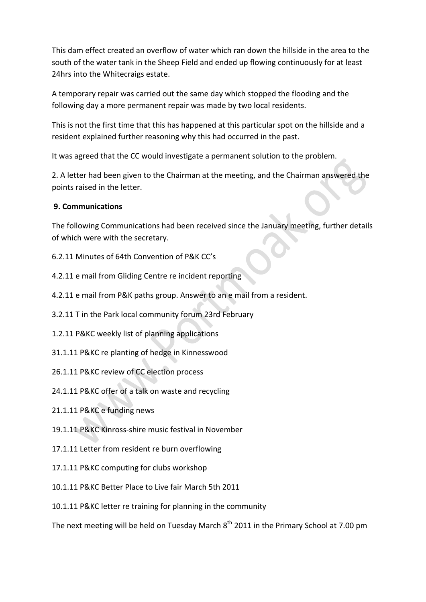This dam effect created an overflow of water which ran down the hillside in the area to the south of the water tank in the Sheep Field and ended up flowing continuously for at least 24hrs into the Whitecraigs estate.

A temporary repair was carried out the same day which stopped the flooding and the following day a more permanent repair was made by two local residents.

This is not the first time that this has happened at this particular spot on the hillside and a resident explained further reasoning why this had occurred in the past.

It was agreed that the CC would investigate a permanent solution to the problem.

2. A letter had been given to the Chairman at the meeting, and the Chairman answered the points raised in the letter.

# **9. Communications**

The following Communications had been received since the January meeting, further details of which were with the secretary.

- 6.2.11 Minutes of 64th Convention of P&K CC's
- 4.2.11 e mail from Gliding Centre re incident reporting
- 4.2.11 e mail from P&K paths group. Answer to an e mail from a resident.
- 3.2.11 T in the Park local community forum 23rd February
- 1.2.11 P&KC weekly list of planning applications
- 31.1.11 P&KC re planting of hedge in Kinnesswood
- 26.1.11 P&KC review of CC election process
- 24.1.11 P&KC offer of a talk on waste and recycling
- 21.1.11 P&KC e funding news
- 19.1.11 P&KC Kinross-shire music festival in November
- 17.1.11 Letter from resident re burn overflowing
- 17.1.11 P&KC computing for clubs workshop
- 10.1.11 P&KC Better Place to Live fair March 5th 2011
- 10.1.11 P&KC letter re training for planning in the community

The next meeting will be held on Tuesday March  $8<sup>th</sup>$  2011 in the Primary School at 7.00 pm